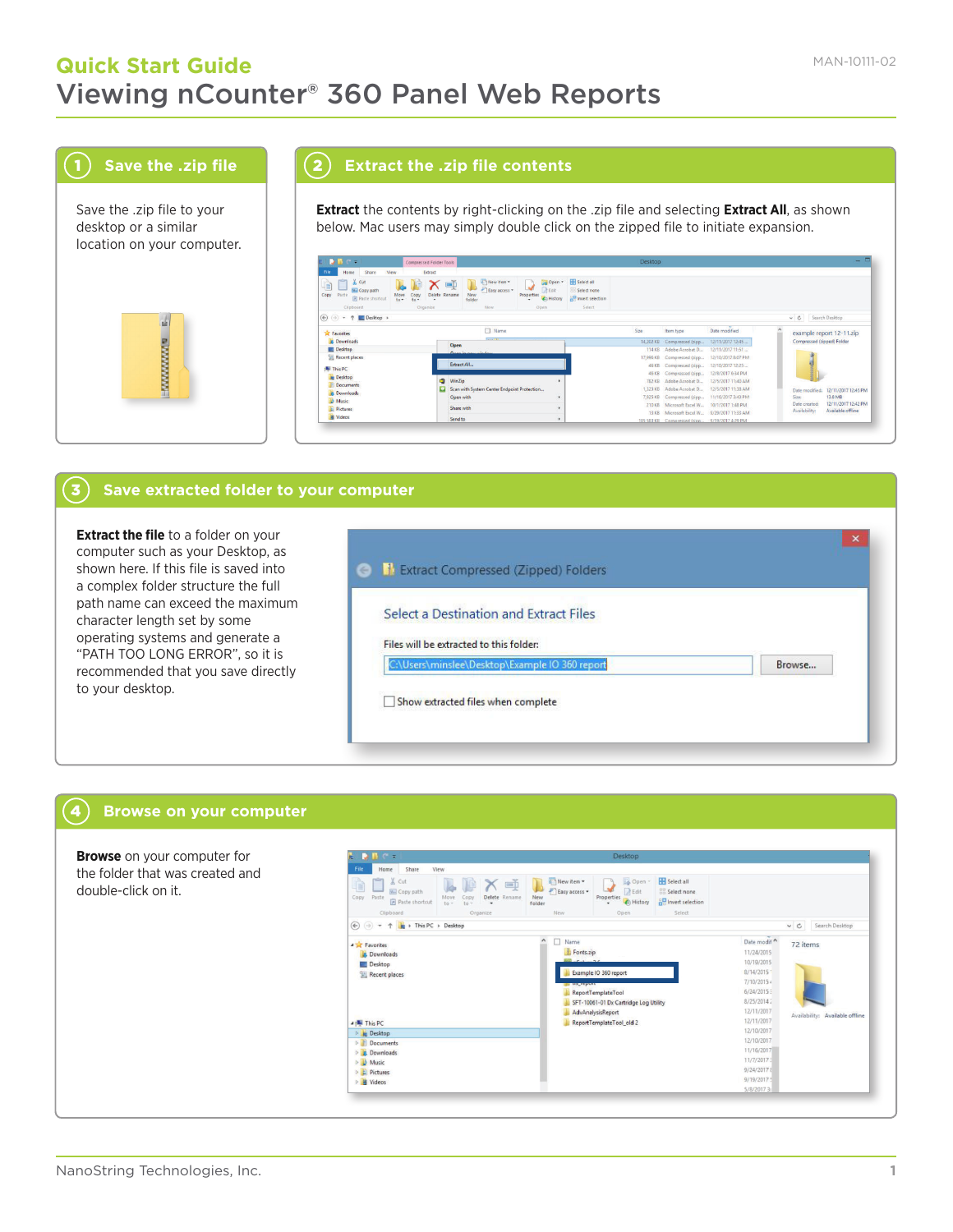# **Quick Start Guide** MAN-10111-02 Viewing nCounter® 360 Panel Web Reports



Save the .zip file to your desktop or a similar location on your computer.



3

4

## 2 **Extract the .zip file contents**

**Extract** the contents by right-clicking on the .zip file and selecting **Extract All**, as shown below. Mac users may simply double click on the zipped file to initiate expansion.



#### **Save extracted folder to your computer**

**Extract the file** to a folder on your computer such as your Desktop, as shown here. If this file is saved into a complex folder structure the full path name can exceed the maximum character length set by some operating systems and generate a "PATH TOO LONG ERROR", so it is recommended that you save directly to your desktop.

| $\leftarrow$ | <b>B</b> Extract Compressed (Zipped) Folders   |        |
|--------------|------------------------------------------------|--------|
|              | Select a Destination and Extract Files         |        |
|              | Files will be extracted to this folder:        |        |
|              | C:\Users\minslee\Desktop\Example IO 360 report | Browse |

### **Browse on your computer**

| <b>Browse</b> on your computer for | $C =$                                                                                                                      | Desktop                                                                                                                                                                                                                                                             |                                                                                                                                                           |  |  |  |  |  |
|------------------------------------|----------------------------------------------------------------------------------------------------------------------------|---------------------------------------------------------------------------------------------------------------------------------------------------------------------------------------------------------------------------------------------------------------------|-----------------------------------------------------------------------------------------------------------------------------------------------------------|--|--|--|--|--|
| the folder that was created and    | Share<br>View<br>Home                                                                                                      |                                                                                                                                                                                                                                                                     |                                                                                                                                                           |  |  |  |  |  |
| double-click on it.                | & Cut<br><b>M.</b> Copy path<br>Copy Paste<br>Copy<br>to -<br><b>a</b> Paste shortcut<br>$+n -$<br>Clipboard               | Select all<br>New item -<br>Le Open -<br>$=$<br>×<br>Easy access *<br><b>A</b><br>R Edit<br><b>BB</b> Select none<br>New<br>Delete Rename<br>Properties<br><b>ER Invert selection</b><br><b>A</b> History<br>$\cdot$<br>folder<br>Select<br>Organize<br>New<br>Open |                                                                                                                                                           |  |  |  |  |  |
|                                    | $\left(\leftarrow\right)$ $\left(\rightarrow\right)$ $\rightarrow$ $\uparrow$ $\downarrow$ + This PC $\rightarrow$ Desktop |                                                                                                                                                                                                                                                                     | v C Search Desktop                                                                                                                                        |  |  |  |  |  |
|                                    | <b>A Favorites</b><br><b>Downloads</b><br>Desktop<br>Recent places                                                         | $\hat{ }$<br>Name<br>Fonts.zip<br>$36$ said $26$<br>Example IO 360 report<br><b>ENDRESSUE</b><br>ReportTemplateTool<br>SFT-10061-01 Dx Cartridge Log Utility<br>AdvAnalysisReport                                                                                   | Date modif<br>72 items<br>11/24/2015<br>10/19/2015<br>8/14/2015<br>7/10/2015 4<br>6/24/2015<br>8/25/2014<br>12/11/2017<br>Availability: Available offline |  |  |  |  |  |
|                                    | 4 <sup>th</sup> This PC<br>Desktop                                                                                         | ReportTemplateTool_old 2                                                                                                                                                                                                                                            | 12/11/2017<br>12/10/2017<br>12/10/2017                                                                                                                    |  |  |  |  |  |
|                                    | Documents<br>Downloads                                                                                                     |                                                                                                                                                                                                                                                                     | 11/16/2017                                                                                                                                                |  |  |  |  |  |
|                                    | $\triangleright$   Music                                                                                                   |                                                                                                                                                                                                                                                                     | 11/7/2017                                                                                                                                                 |  |  |  |  |  |
|                                    | Pictures<br>▷ <mark>H</mark> Videos                                                                                        |                                                                                                                                                                                                                                                                     | 9/24/20178<br>9/19/2017 5                                                                                                                                 |  |  |  |  |  |
|                                    |                                                                                                                            |                                                                                                                                                                                                                                                                     | 5/8/20173                                                                                                                                                 |  |  |  |  |  |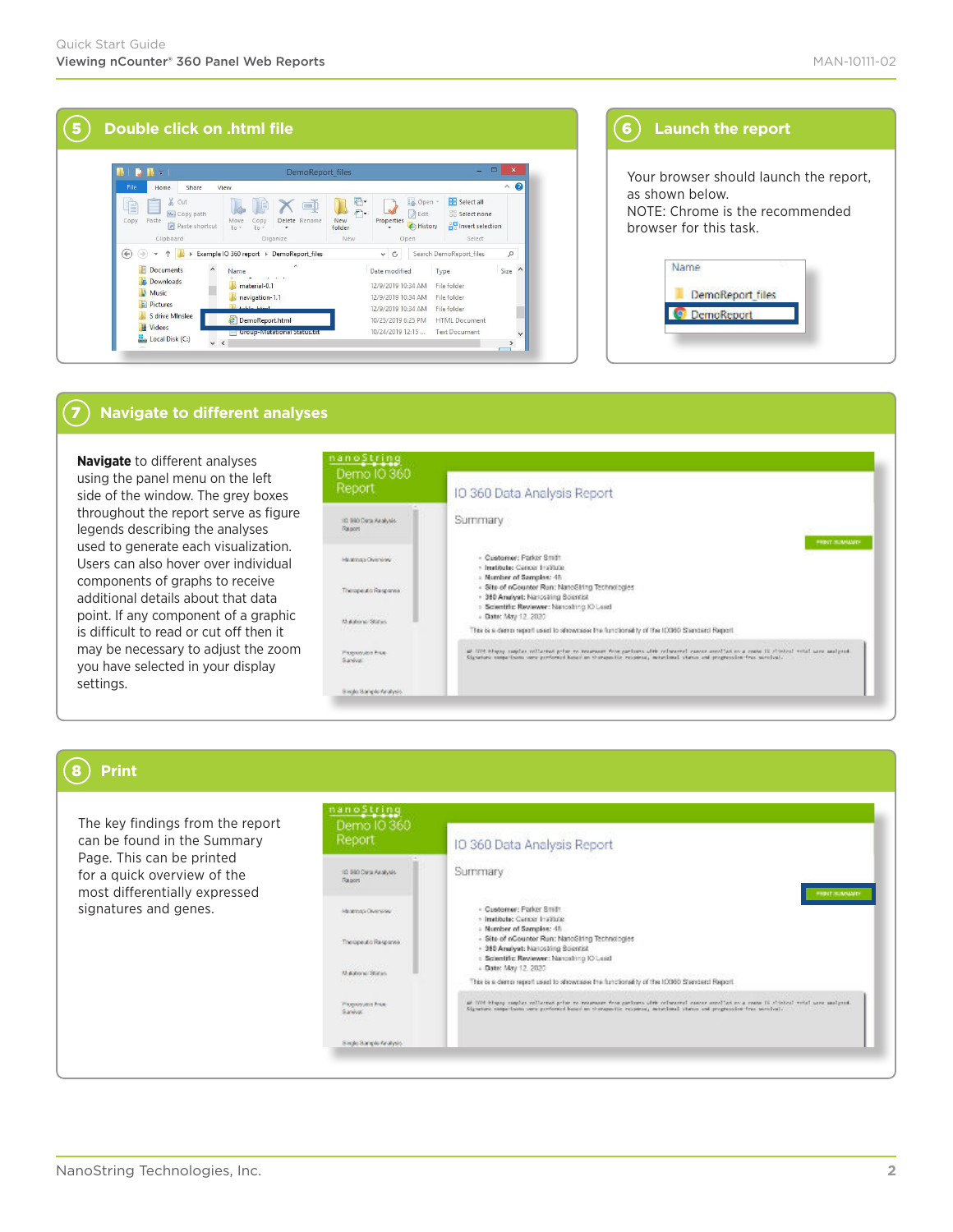| $\blacksquare$<br>Delete Rename<br>Copy           | <b>F</b><br>F                                                                                |                    | La Open +                                              | Select all                                                                                               | $\bullet$<br>$\wedge$                                                                                                          |
|---------------------------------------------------|----------------------------------------------------------------------------------------------|--------------------|--------------------------------------------------------|----------------------------------------------------------------------------------------------------------|--------------------------------------------------------------------------------------------------------------------------------|
|                                                   |                                                                                              |                    |                                                        |                                                                                                          |                                                                                                                                |
| $\ln r$<br>٠                                      | <b>New</b><br>folder                                                                         | Edit<br>Properties | A History                                              | <b>BB</b> Select none<br><b>PR</b> Invert selection                                                      |                                                                                                                                |
|                                                   |                                                                                              |                    |                                                        |                                                                                                          | ρ                                                                                                                              |
| ×<br>material-0.1<br>navigation-1.1<br>table html |                                                                                              |                    | Type                                                   |                                                                                                          | $\lambda$<br>Size                                                                                                              |
| DemoReport.html                                   |                                                                                              |                    |                                                        |                                                                                                          |                                                                                                                                |
|                                                   | Organize<br>Example IO 360 report > DemoReport_files<br><b>Loroup-Mutational Status foto</b> | New                | Open<br>$\mathcal{C}$<br>$\checkmark$<br>Date modified | 12/9/2019 10:34 AM<br>12/9/2019 10:34 AM<br>12/9/2019 10:34 AM<br>10/25/2019 6:25 PM<br>10/24/2019 12:15 | Select<br>Search DemoReport files<br>File folder<br>File folder<br>File folder<br><b>HTML</b> Document<br><b>Text Document</b> |

# **(6)** Launch the report

Your browser should launch the report, as shown below. NOTE: Chrome is the recommended browser for this task.

| DemoReport_files  |  |
|-------------------|--|
| <b>DemoReport</b> |  |

#### 7 **Navigate to different analyses**

**Navigate** to different analyses using the panel menu on the left side of the window. The grey boxes throughout the report serve as figure legends describing the analyses used to generate each visualization. Users can also hover over individual components of graphs to receive additional details about that data point. If any component of a graphic is difficult to read or cut off then it may be necessary to adjust the zoom you have selected in your display settings.

| Demo IO 360<br>Report                       | IO 360 Data Analysis Report                                                                                                                                                                                                                                             |
|---------------------------------------------|-------------------------------------------------------------------------------------------------------------------------------------------------------------------------------------------------------------------------------------------------------------------------|
| 10-340 Data Analysis<br>Resport             | Summary                                                                                                                                                                                                                                                                 |
| <b>STAR</b>                                 | <b><i>PRINT SCARLINGS</i></b><br>Key Ya'e 2016                                                                                                                                                                                                                          |
| Managazine Chemister                        | - Customer: Parker Smith                                                                                                                                                                                                                                                |
|                                             | · Institute: Cencer Institute<br>- Number of Samples: 45                                                                                                                                                                                                                |
| Therapeutic Response                        | - Site of nCounter Run: NanoString Technologies                                                                                                                                                                                                                         |
|                                             | - 380 Analyst: Nanostring Bolentist<br>> Scientific Reviewer: Nancshing IO Lead                                                                                                                                                                                         |
| <b>CONTRACTOR</b><br><b>Multiple States</b> | - Date: May 12, 2020                                                                                                                                                                                                                                                    |
| 500 M 300 M                                 | This is a demo report used to ahowcase the functionality of the 10080 Standard Report.                                                                                                                                                                                  |
| <b>Picesowich Erice</b><br>Sanival.         | all COSE blogay complex vallareas grips en reageaser from partners with releasers! cancer asset as on reate IE citatral evial were analyzed.<br>Circuitors responsions come prefermed based on therapositic response, meteriously status and progression-free seculumi- |
| Simple Somple Analysis.                     |                                                                                                                                                                                                                                                                         |

# 8 **Print**

The key findings from the report can be found in the Summary Page. This can be printed for a quick overview of the most differentially expressed signatures and genes.

| Report                                      | IO 360 Data Analysis Report                                                                                                                                                                                                                                             |
|---------------------------------------------|-------------------------------------------------------------------------------------------------------------------------------------------------------------------------------------------------------------------------------------------------------------------------|
| 10-300 Data Analysis<br>Report              | Summary                                                                                                                                                                                                                                                                 |
| Manhas Overview .                           | <b>PRINT SCANADO</b><br>- Customer: Parker Smith<br>· Institute: Cencer Institute                                                                                                                                                                                       |
| Thospe As Responsi-                         | » Number of Samples: 45<br>- Site of nCounter Run: NanoShing Technologies<br>- 380 Analyst: Narrostring Scientist<br>> Scientific Reviewer: Nancshing IO Lead                                                                                                           |
| <b>CONTRACTOR</b><br><b>Multiple States</b> | + Date: May 12, 2020<br>This is a demo report used to alrownsee the functionality of the 10060 Standard Report.                                                                                                                                                         |
| Piceworks Exe-<br>Saniva:                   | all COVE blogay complex vallareas grips ex reageaser from partners with releasers' cancer assoliation a reate IE clicked write wave analysed.<br>Cignature comparisons nowe performed based on therapseitic response, meteriously status and progression-free seculosi. |
| Single Sample Analysis.                     |                                                                                                                                                                                                                                                                         |